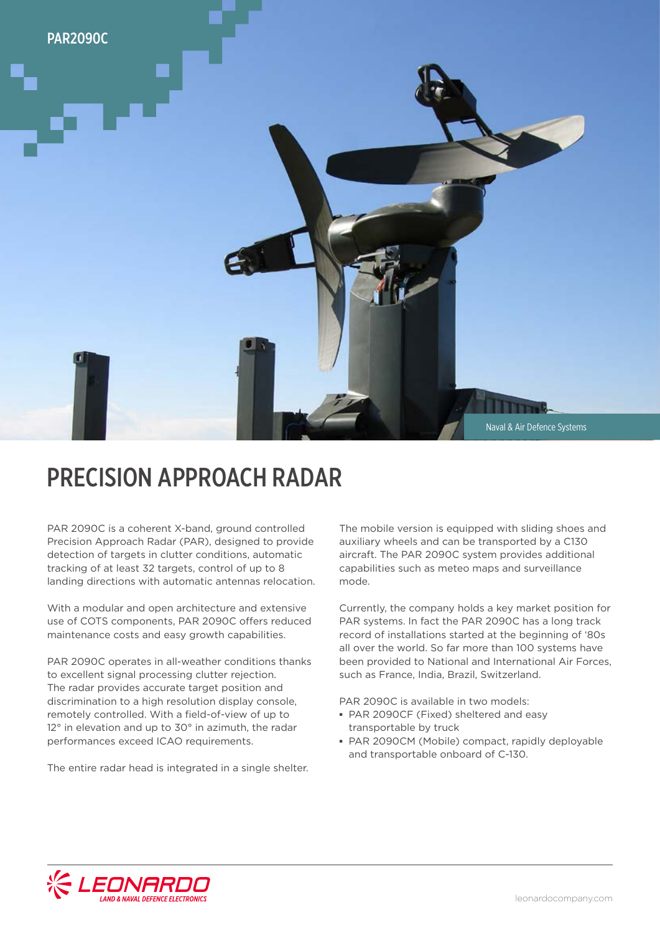

# PRECISION APPROACH RADAR

PAR 2090C is a coherent X-band, ground controlled Precision Approach Radar (PAR), designed to provide detection of targets in clutter conditions, automatic tracking of at least 32 targets, control of up to 8 landing directions with automatic antennas relocation.

With a modular and open architecture and extensive use of COTS components, PAR 2090C offers reduced maintenance costs and easy growth capabilities.

PAR 2090C operates in all-weather conditions thanks to excellent signal processing clutter rejection. The radar provides accurate target position and discrimination to a high resolution display console, remotely controlled. With a field-of-view of up to 12° in elevation and up to 30° in azimuth, the radar performances exceed ICAO requirements.

The entire radar head is integrated in a single shelter.

The mobile version is equipped with sliding shoes and auxiliary wheels and can be transported by a C130 aircraft. The PAR 2090C system provides additional capabilities such as meteo maps and surveillance mode.

Currently, the company holds a key market position for PAR systems. In fact the PAR 2090C has a long track record of installations started at the beginning of '80s all over the world. So far more than 100 systems have been provided to National and International Air Forces, such as France, India, Brazil, Switzerland.

PAR 2090C is available in two models:

- **▪** PAR 2090CF (Fixed) sheltered and easy transportable by truck
- **▪** PAR 2090CM (Mobile) compact, rapidly deployable and transportable onboard of C-130.